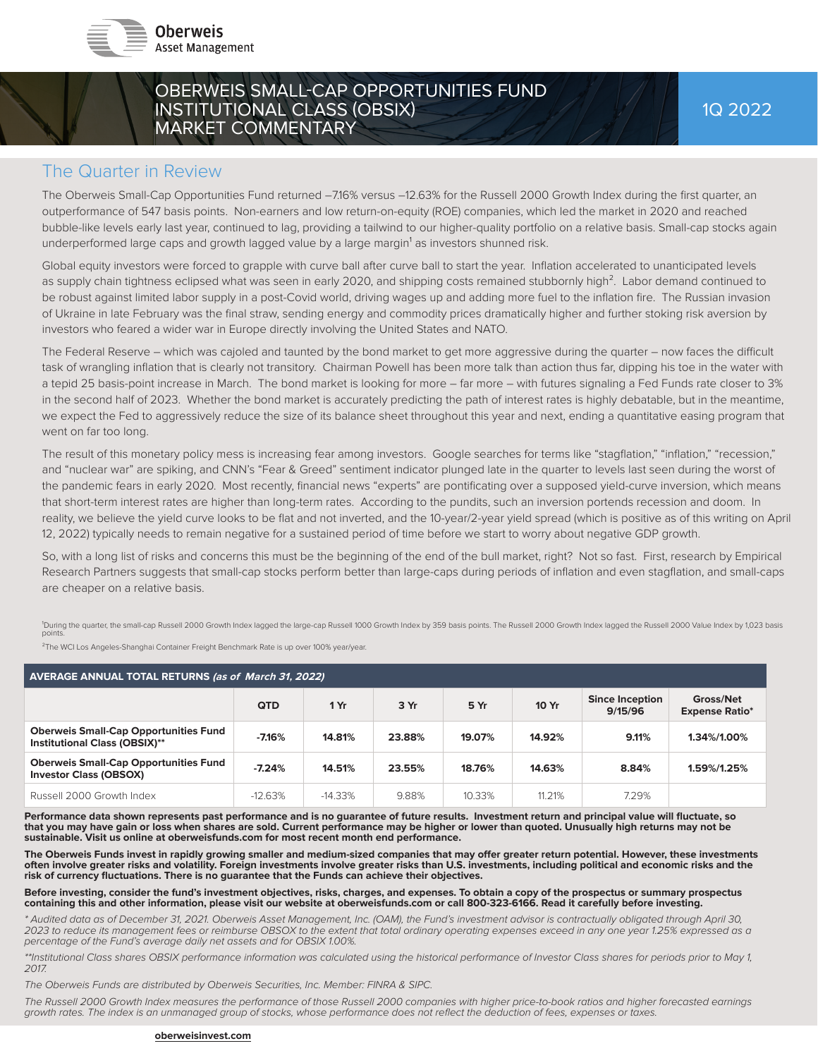

## OBERWEIS SMALL-CAP OPPORTUNITIES FUND INSTITUTIONAL CLASS (OBSIX) MARKET COMMENTARY

## The Quarter in Review

The Oberweis Small-Cap Opportunities Fund returned -7.16% versus -12.63% for the Russell 2000 Growth Index during the first quarter, an outperformance of 547 basis points. Non-earners and low return-on-equity (ROE) companies, which led the market in 2020 and reached bubble-like levels early last year, continued to lag, providing a tailwind to our higher-quality portfolio on a relative basis. Small-cap stocks again underperformed large caps and growth lagged value by a large margin<sup>1</sup> as investors shunned risk.

Global equity investors were forced to grapple with curve ball after curve ball to start the year. Inflation accelerated to unanticipated levels as supply chain tightness eclipsed what was seen in early 2020, and shipping costs remained stubbornly high<sup>2</sup>. Labor demand continued to be robust against limited labor supply in a post-Covid world, driving wages up and adding more fuel to the inflation fire. The Russian invasion of Ukraine in late February was the final straw, sending energy and commodity prices dramatically higher and further stoking risk aversion by investors who feared a wider war in Europe directly involving the United States and NATO.

The Federal Reserve – which was cajoled and taunted by the bond market to get more aggressive during the quarter – now faces the difficult task of wrangling inflation that is clearly not transitory. Chairman Powell has been more talk than action thus far, dipping his toe in the water with a tepid 25 basis-point increase in March. The bond market is looking for more – far more – with futures signaling a Fed Funds rate closer to 3% in the second half of 2023. Whether the bond market is accurately predicting the path of interest rates is highly debatable, but in the meantime, we expect the Fed to aggressively reduce the size of its balance sheet throughout this year and next, ending a quantitative easing program that went on far too long.

The result of this monetary policy mess is increasing fear among investors. Google searches for terms like "stagflation," "inflation," "recession," and "nuclear war" are spiking, and CNN's "Fear & Greed" sentiment indicator plunged late in the quarter to levels last seen during the worst of the pandemic fears in early 2020. Most recently, financial news "experts" are pontificating over a supposed yield-curve inversion, which means that short-term interest rates are higher than long-term rates. According to the pundits, such an inversion portends recession and doom. In reality, we believe the yield curve looks to be flat and not inverted, and the 10-year/2-year yield spread (which is positive as of this writing on April 12, 2022) typically needs to remain negative for a sustained period of time before we start to worry about negative GDP growth.

So, with a long list of risks and concerns this must be the beginning of the end of the bull market, right? Not so fast. First, research by Empirical Research Partners suggests that small-cap stocks perform better than large-caps during periods of inflation and even stagflation, and small-caps are cheaper on a relative basis.

'During the quarter, the small-cap Russell 2000 Growth Index lagged the large-cap Russell 1000 Growth Index by 359 basis points. The Russell 2000 Growth Index lagged the Russell 2000 Value Index by 1,023 basis<br>points.

²The WCI Los Angeles-Shanghai Container Freight Benchmark Rate is up over 100% year/year.

| <b>AVERAGE ANNUAL TOTAL RETURNS (as of March 31, 2022)</b>                           |            |           |        |        |        |                                   |                                    |
|--------------------------------------------------------------------------------------|------------|-----------|--------|--------|--------|-----------------------------------|------------------------------------|
|                                                                                      | <b>QTD</b> | 1Yr       | 3 Yr   | 5 Yr   | 10 Yr  | <b>Since Inception</b><br>9/15/96 | Gross/Net<br><b>Expense Ratio*</b> |
| <b>Oberweis Small-Cap Opportunities Fund</b><br><b>Institutional Class (OBSIX)**</b> | $-7.16%$   | 14.81%    | 23.88% | 19.07% | 14.92% | 9.11%                             | 1.34%/1.00%                        |
| <b>Oberweis Small-Cap Opportunities Fund</b><br><b>Investor Class (OBSOX)</b>        | $-7.24%$   | 14.51%    | 23.55% | 18.76% | 14.63% | 8.84%                             | 1.59%/1.25%                        |
| Russell 2000 Growth Index                                                            | $-12.63%$  | $-14.33%$ | 9.88%  | 10.33% | 11.21% | 7.29%                             |                                    |

Performance data shown represents past performance and is no guarantee of future results. Investment return and principal value will fluctuate, so **that you may have gain or loss when shares are sold. Current performance may be higher or lower than quoted. Unusually high returns may not be sustainable. Visit us online at oberweisfunds.com for most recent month end performance.** 

The Oberweis Funds invest in rapidly growing smaller and medium-sized companies that may offer greater return potential. However, these investments **often involve greater risks and volatility. Foreign investments involve greater risks than U.S. investments, including political and economic risks and the risk of currency fl uctuations. There is no guarantee that the Funds can achieve their objectives.**

**Before investing, consider the fund's investment objectives, risks, charges, and expenses. To obtain a copy of the prospectus or summary prospectus containing this and other information, please visit our website at oberweisfunds.com or call 800-323-6166. Read it carefully before investing.** 

*\* Audited data as of December 31, 2021. Oberweis Asset Management, Inc. (OAM), the Fund's investment advisor is contractually obligated through April 30, 2023 to reduce its management fees or reimburse OBSOX to the extent that total ordinary operating expenses exceed in any one year 1.25% expressed as a percentage of the Fund's average daily net assets and for OBSIX 1.00%.*

*\*\*Institutional Class shares OBSIX performance information was calculated using the historical performance of Investor Class shares for periods prior to May 1, 2017.*

*The Oberweis Funds are distributed by Oberweis Securities, Inc. Member: FINRA & SIPC.*

*The Russell 2000 Growth Index measures the performance of those Russell 2000 companies with higher price-to-book ratios and higher forecasted earnings growth rates. The index is an unmanaged group of stocks, whose performance does not refl ect the deduction of fees, expenses or taxes.*

#### **oberweisinvest.com**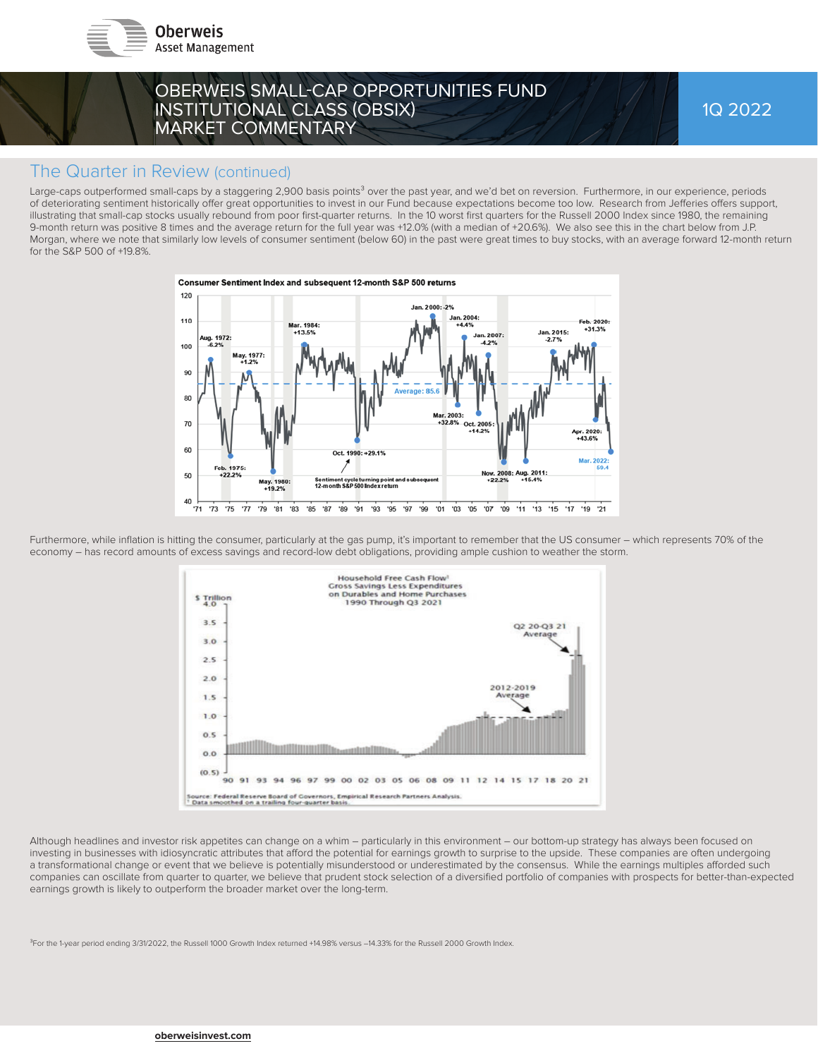



1Q 2022

### The Quarter in Review (continued)

Large-caps outperformed small-caps by a staggering 2,900 basis points<sup>3</sup> over the past year, and we'd bet on reversion. Furthermore, in our experience, periods of deteriorating sentiment historically offer great opportunities to invest in our Fund because expectations become too low. Research from Jefferies offers support, illustrating that small-cap stocks usually rebound from poor first-quarter returns. In the 10 worst first quarters for the Russell 2000 Index since 1980, the remaining 9-month return was positive 8 times and the average return for the full year was +12.0% (with a median of +20.6%). We also see this in the chart below from J.P. Morgan, where we note that similarly low levels of consumer sentiment (below 60) in the past were great times to buy stocks, with an average forward 12-month return for the S&P 500 of +19.8%.



Furthermore, while inflation is hitting the consumer, particularly at the gas pump, it's important to remember that the US consumer – which represents 70% of the economy – has record amounts of excess savings and record-low debt obligations, providing ample cushion to weather the storm.



Although headlines and investor risk appetites can change on a whim – particularly in this environment – our bottom-up strategy has always been focused on investing in businesses with idiosyncratic attributes that afford the potential for earnings growth to surprise to the upside. These companies are often undergoing a transformational change or event that we believe is potentially misunderstood or underestimated by the consensus. While the earnings multiples afforded such companies can oscillate from quarter to quarter, we believe that prudent stock selection of a diversified portfolio of companies with prospects for better-than-expected earnings growth is likely to outperform the broader market over the long-term.

<sup>3</sup>For the 1-year period ending 3/31/2022, the Russell 1000 Growth Index returned +14.98% versus -14.33% for the Russell 2000 Growth Index.